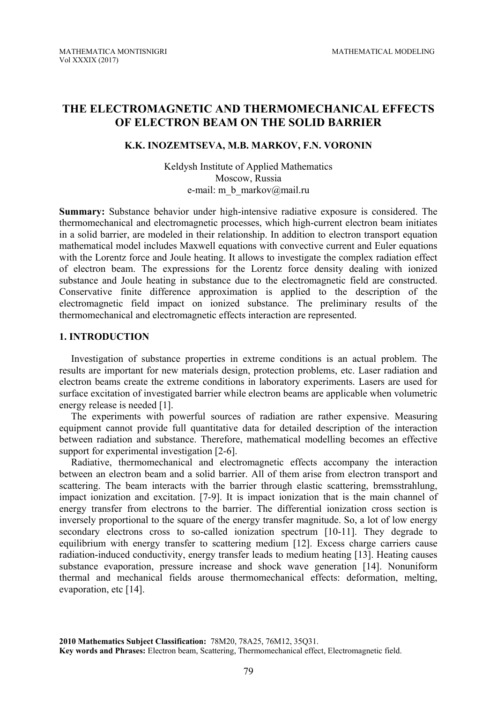# **THE ELECTROMAGNETIC AND THERMOMECHANICAL EFFECTS OF ELECTRON BEAM ON THE SOLID BARRIER**

## **K.K. INOZEMTSEVA, M.B. MARKOV, F.N. VORONIN**

Keldysh Institute of Applied Mathematics Moscow, Russia e-mail: m\_b\_markov@mail.ru

**Summary:** Substance behavior under high-intensive radiative exposure is considered. The thermomechanical and electromagnetic processes, which high-current electron beam initiates in a solid barrier, are modeled in their relationship. In addition to electron transport equation mathematical model includes Maxwell equations with convective current and Euler equations with the Lorentz force and Joule heating. It allows to investigate the complex radiation effect of electron beam. The expressions for the Lorentz force density dealing with ionized substance and Joule heating in substance due to the electromagnetic field are constructed. Conservative finite difference approximation is applied to the description of the electromagnetic field impact on ionized substance. The preliminary results of the thermomechanical and electromagnetic effects interaction are represented.

# **1. INTRODUCTION**

Investigation of substance properties in extreme conditions is an actual problem. The results are important for new materials design, protection problems, etc. Laser radiation and electron beams create the extreme conditions in laboratory experiments. Lasers are used for surface excitation of investigated barrier while electron beams are applicable when volumetric energy release is needed [1].

The experiments with powerful sources of radiation are rather expensive. Measuring equipment cannot provide full quantitative data for detailed description of the interaction between radiation and substance. Therefore, mathematical modelling becomes an effective support for experimental investigation [2-6].

Radiative, thermomechanical and electromagnetic effects accompany the interaction between an electron beam and a solid barrier. All of them arise from electron transport and scattering. The beam interacts with the barrier through elastic scattering, bremsstrahlung, impact ionization and excitation. [7-9]. It is impact ionization that is the main channel of energy transfer from electrons to the barrier. The differential ionization cross section is inversely proportional to the square of the energy transfer magnitude. So, a lot of low energy secondary electrons cross to so-called ionization spectrum [10-11]. They degrade to equilibrium with energy transfer to scattering medium [12]. Excess charge carriers cause radiation-induced conductivity, energy transfer leads to medium heating [13]. Heating causes substance evaporation, pressure increase and shock wave generation [14]. Nonuniform thermal and mechanical fields arouse thermomechanical effects: deformation, melting, evaporation, etc [14].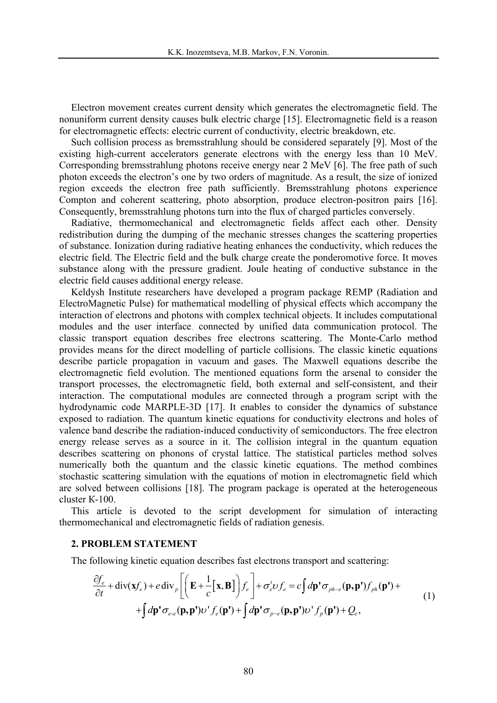Electron movement creates current density which generates the electromagnetic field. The nonuniform current density causes bulk electric charge [15]. Electromagnetic field is a reason for electromagnetic effects: electric current of conductivity, electric breakdown, etc.

Such collision process as bremsstrahlung should be considered separately [9]. Most of the existing high-current accelerators generate electrons with the energy less than 10 MeV. Corresponding bremsstrahlung photons receive energy near 2 MeV [6]. The free path of such photon exceeds the electron's one by two orders of magnitude. As a result, the size of ionized region exceeds the electron free path sufficiently. Bremsstrahlung photons experience Compton and coherent scattering, photo absorption, produce electron-positron pairs [16]. Consequently, bremsstrahlung photons turn into the flux of charged particles conversely.

Radiative, thermomechanical and electromagnetic fields affect each other. Density redistribution during the dumping of the mechanic stresses changes the scattering properties of substance. Ionization during radiative heating enhances the conductivity, which reduces the electric field. The Electric field and the bulk charge create the ponderomotive force. It moves substance along with the pressure gradient. Joule heating of conductive substance in the electric field causes additional energy release.

Keldysh Institute researchers have developed a program package REMP (Radiation and ElectroMagnetic Pulse) for mathematical modelling of physical effects which accompany the interaction of electrons and photons with complex technical objects. It includes computational modules and the user interface, connected by unified data communication protocol. The classic transport equation describes free electrons scattering. The Monte-Carlo method provides means for the direct modelling of particle collisions. The classic kinetic equations describe particle propagation in vacuum and gases. The Maxwell equations describe the electromagnetic field evolution. The mentioned equations form the arsenal to consider the transport processes, the electromagnetic field, both external and self-consistent, and their interaction. The computational modules are connected through a program script with the hydrodynamic code MARPLE-3D [17]. It enables to consider the dynamics of substance exposed to radiation. The quantum kinetic equations for conductivity electrons and holes of valence band describe the radiation-induced conductivity of semiconductors. The free electron energy release serves as a source in it. The collision integral in the quantum equation describes scattering on phonons of crystal lattice. The statistical particles method solves numerically both the quantum and the classic kinetic equations. The method combines stochastic scattering simulation with the equations of motion in electromagnetic field which are solved between collisions [18]. The program package is operated at the heterogeneous cluster К-100.

This article is devoted to the script development for simulation of interacting thermomechanical and electromagnetic fields of radiation genesis.

### **2. PROBLEM STATEMENT**

The following kinetic equation describes fast electrons transport and scattering:

$$
\frac{\partial f_e}{\partial t} + \text{div}(\mathbf{x}f_e) + e \text{div}_p \left[ \left( \mathbf{E} + \frac{1}{c} [\mathbf{x}, \mathbf{B}] \right) f_e \right] + \sigma_e^t \nu f_e = c \int d\mathbf{p}^t \sigma_{ph-e}(\mathbf{p}, \mathbf{p}^t) f_{ph}(\mathbf{p}^t) +
$$
  
+ 
$$
\int d\mathbf{p}^t \sigma_{e\text{-}e}(\mathbf{p}, \mathbf{p}^t) \nu^t f_e(\mathbf{p}^t) + \int d\mathbf{p}^t \sigma_{p\text{-}e}(\mathbf{p}, \mathbf{p}^t) \nu^t f_p(\mathbf{p}^t) + Q_e,
$$
\n(1)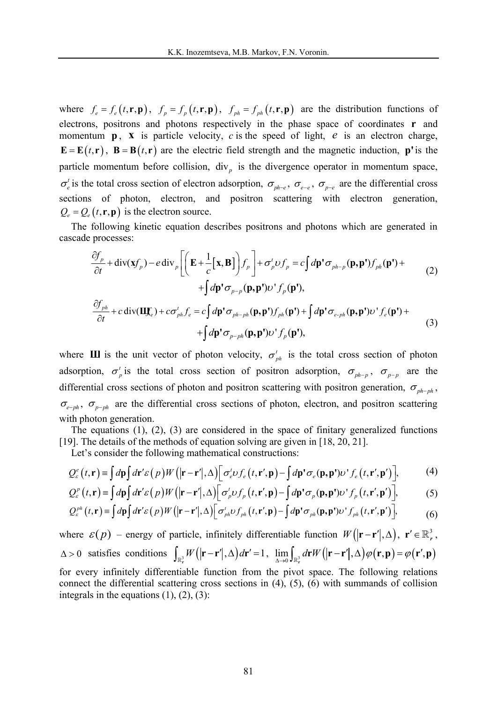where  $f_e = f_e(t, \mathbf{r}, \mathbf{p})$ ,  $f_p = f_p(t, \mathbf{r}, \mathbf{p})$ ,  $f_{ph} = f_{ph}(t, \mathbf{r}, \mathbf{p})$  are the distribution functions of electrons, positrons and photons respectively in the phase space of coordinates **r** and momentum  $\bf{p}$ ,  $\bf{x}$  is particle velocity, *c* is the speed of light, *e* is an electron charge,  $\mathbf{E} = \mathbf{E}(t, \mathbf{r})$ ,  $\mathbf{B} = \mathbf{B}(t, \mathbf{r})$  are the electric field strength and the magnetic induction, **p**' is the particle momentum before collision,  $div<sub>p</sub>$  is the divergence operator in momentum space,  $\sigma_e^t$  is the total cross section of electron adsorption,  $\sigma_{p^h-e}$ ,  $\sigma_{e-e}$ ,  $\sigma_{p-e}$  are the differential cross sections of photon, electron, and positron scattering with electron generation,  $Q_e = Q_e(t, \mathbf{r}, \mathbf{p})$  is the electron source.

The following kinetic equation describes positrons and photons which are generated in cascade processes:

$$
\frac{\partial f_p}{\partial t} + \text{div}(\mathbf{x}f_p) - e \text{div}_p \left[ \left( \mathbf{E} + \frac{1}{c} [\mathbf{x}, \mathbf{B}] \right) f_p \right] + \sigma_p' \upsilon f_p = c \int d\mathbf{p}' \sigma_{ph-p} (\mathbf{p}, \mathbf{p}') f_{ph} (\mathbf{p}') + \int d\mathbf{p}' \sigma_{p-p} (\mathbf{p}, \mathbf{p}') \upsilon' f_p (\mathbf{p}'),
$$
\n
$$
\frac{\partial f_{ph}}{\partial t} + c \text{div}(\mathbf{U} \mathbf{f}_e) + c \sigma_{ph}^t f_e = c \int d\mathbf{p}' \sigma_{ph-ph} (\mathbf{p}, \mathbf{p}') f_{ph} (\mathbf{p}') + \int d\mathbf{p}' \sigma_{e-ph} (\mathbf{p}, \mathbf{p}') \upsilon' f_e (\mathbf{p}') + \int d\mathbf{p}' \sigma_{p-ph} (\mathbf{p}, \mathbf{p}') \upsilon' f_p (\mathbf{p}'),
$$
\n
$$
+ \int d\mathbf{p}' \sigma_{p-ph} (\mathbf{p}, \mathbf{p}') \upsilon' f_p (\mathbf{p}'),
$$
\n(3)

where **III** is the unit vector of photon velocity,  $\sigma_{ph}^t$  is the total cross section of photon adsorption,  $\sigma_p^t$  is the total cross section of positron adsorption,  $\sigma_{p h - p}$ ,  $\sigma_{p - p}$  are the differential cross sections of photon and positron scattering with positron generation,  $\sigma_{\text{ph}-\text{ph}}$ ,  $\sigma_{e-ph}$ ,  $\sigma_{p-ph}$  are the differential cross sections of photon, electron, and positron scattering with photon generation.

The equations (1), (2), (3) are considered in the space of finitary generalized functions [19]. The details of the methods of equation solving are given in [18, 20, 21].

Let's consider the following mathematical constructions:

$$
Q_{\varepsilon}^{e}(t,\mathbf{r}) \equiv \int d\mathbf{p} \int d\mathbf{r}' \varepsilon(p) W(|\mathbf{r}-\mathbf{r}'|,\Delta) \left[ \sigma_{e}^{t} \omega f_{e}(t,\mathbf{r}',\mathbf{p}) - \int d\mathbf{p}' \sigma_{e}(\mathbf{p},\mathbf{p}') \omega' f_{e}(t,\mathbf{r}',\mathbf{p}') \right],
$$
 (4)

$$
Q_{\varepsilon}^{p}(t,\mathbf{r}) \equiv \int d\mathbf{p} \int d\mathbf{r}' \varepsilon(p) W(|\mathbf{r}-\mathbf{r}'|,\Delta) \Big[ \sigma_{p}^{t} \nu f_{p}(t,\mathbf{r}',\mathbf{p}) - \int d\mathbf{p}' \sigma_{p}(\mathbf{p},\mathbf{p}') \nu' f_{p}(t,\mathbf{r}',\mathbf{p}') \Big],\tag{5}
$$

$$
Q_{\varepsilon}^{ph}(t,\mathbf{r}) \equiv \int d\mathbf{p} \int d\mathbf{r}' \varepsilon(p) W(|\mathbf{r}-\mathbf{r}'|,\Delta) \Big[ \sigma_{ph}^t \nu f_{ph}(t,\mathbf{r}',\mathbf{p}) - \int d\mathbf{p}' \sigma_{ph}(\mathbf{p},\mathbf{p}') \nu' f_{ph}(t,\mathbf{r}',\mathbf{p}') \Big],\tag{6}
$$

where  $\varepsilon(p)$  – energy of particle, infinitely differentiable function  $W(|\mathbf{r}-\mathbf{r}'|,\Delta)$ ,  $\mathbf{r}' \in \mathbb{R}^3$ ,  $\Delta > 0$  satisfies conditions  $\int_{\mathbb{R}^3_1} W(|\mathbf{r} - \mathbf{r}'|, \Delta) d\mathbf{r}' = 1$ ,  $\lim_{\Delta \to 0} \int_{\mathbb{R}^3_1} d\mathbf{r} W(|\mathbf{r} - \mathbf{r}'|, \Delta) \varphi(\mathbf{r}, \mathbf{p}) = \varphi(\mathbf{r}', \mathbf{p})$ 

for every infinitely differentiable function from the pivot space. The following relations connect the differential scattering cross sections in (4), (5), (6) with summands of collision integrals in the equations  $(1)$ ,  $(2)$ ,  $(3)$ :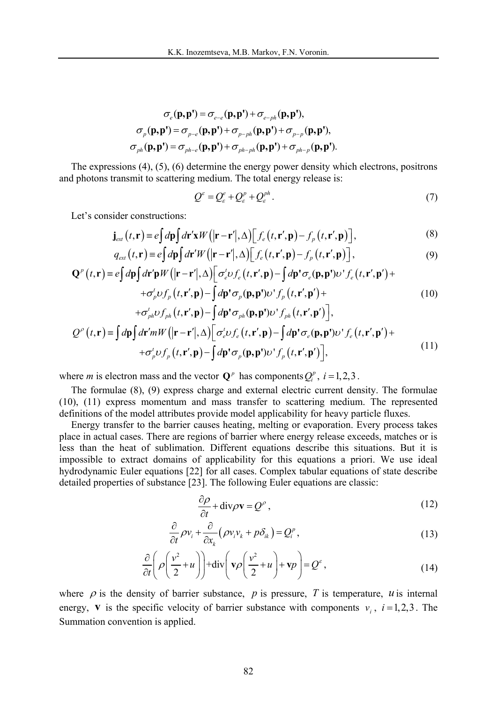$$
\sigma_e(\mathbf{p}, \mathbf{p'}) = \sigma_{e-e}(\mathbf{p}, \mathbf{p'}) + \sigma_{e-ph}(\mathbf{p}, \mathbf{p'}),
$$

$$
\sigma_p(\mathbf{p}, \mathbf{p'}) = \sigma_{p-e}(\mathbf{p}, \mathbf{p'}) + \sigma_{p-ph}(\mathbf{p}, \mathbf{p'}) + \sigma_{p-p}(\mathbf{p}, \mathbf{p'}),
$$

$$
\sigma_{ph}(\mathbf{p}, \mathbf{p'}) = \sigma_{ph-e}(\mathbf{p}, \mathbf{p'}) + \sigma_{ph-ph}(\mathbf{p}, \mathbf{p'}) + \sigma_{ph-p}(\mathbf{p}, \mathbf{p'}).
$$

The expressions (4), (5), (6) determine the energy power density which electrons, positrons and photons transmit to scattering medium. The total energy release is:

$$
Q^{\varepsilon} = Q_{\varepsilon}^{\varepsilon} + Q_{\varepsilon}^{\rho} + Q_{\varepsilon}^{\rho h}.
$$
 (7)

Let's consider constructions:

$$
\mathbf{j}_{\text{ext}}(t,\mathbf{r}) \equiv e \int d\mathbf{p} \int d\mathbf{r}' \mathbf{x} W \left( |\mathbf{r} - \mathbf{r}'|, \Delta \right) \left[ f_e(t, \mathbf{r}', \mathbf{p}) - f_p(t, \mathbf{r}', \mathbf{p}) \right],\tag{8}
$$

$$
q_{\text{ext}}(t,\mathbf{r}) \equiv e \int d\mathbf{p} \int d\mathbf{r}' W(|\mathbf{r}-\mathbf{r}'|,\Delta) \Big[ f_{e}(t,\mathbf{r}',\mathbf{p}) - f_{p}(t,\mathbf{r}',\mathbf{p}) \Big],\tag{9}
$$

$$
\mathbf{Q}^{p}(t,\mathbf{r}) \equiv e \int d\mathbf{p} \int d\mathbf{r}' \mathbf{p} W \left( |\mathbf{r} - \mathbf{r}'|, \Delta \right) \left[ \sigma_{e}^{t} \nu f_{e}(t, \mathbf{r}', \mathbf{p}) - \int d\mathbf{p}' \sigma_{e}(\mathbf{p}, \mathbf{p}') \nu' f_{e}(t, \mathbf{r}', \mathbf{p}') + \sigma_{p}^{t} \nu f_{p}(t, \mathbf{r}', \mathbf{p}) - \int d\mathbf{p}' \sigma_{p}(\mathbf{p}, \mathbf{p}') \nu' f_{p}(t, \mathbf{r}', \mathbf{p}') + \tag{10}
$$

$$
+ \sigma_{ph}^{i} \upsilon f_{ph}(t, \mathbf{r}', \mathbf{p}) - \int d\mathbf{p}' \sigma_{ph}(\mathbf{p}, \mathbf{p}') \upsilon' f_{ph}(t, \mathbf{r}', \mathbf{p}') \Big],
$$
  

$$
Q^{\rho}(t, \mathbf{r}) = \int d\mathbf{p} \int d\mathbf{r}' m W(|\mathbf{r} - \mathbf{r}'|, \Delta) \Big[ \sigma_{e}^{i} \upsilon f_{e}(t, \mathbf{r}', \mathbf{p}) - \int d\mathbf{p}' \sigma_{e}(\mathbf{p}, \mathbf{p}') \upsilon' f_{e}(t, \mathbf{r}', \mathbf{p}') +
$$

$$
+ \sigma_{p}' \upsilon f_{p}(t, \mathbf{r}', \mathbf{p}) - \int d\mathbf{p}' \sigma_{p}(\mathbf{p}, \mathbf{p}') \upsilon' f_{p}(t, \mathbf{r}', \mathbf{p}') \Big], \tag{11}
$$

where *m* is electron mass and the vector  $\mathbf{Q}^p$  has components  $Q_i^p$ ,  $i = 1, 2, 3$ .

The formulae (8), (9) express charge and external electric current density. The formulae (10), (11) express momentum and mass transfer to scattering medium. The represented definitions of the model attributes provide model applicability for heavy particle fluxes.

Energy transfer to the barrier causes heating, melting or evaporation. Every process takes place in actual cases. There are regions of barrier where energy release exceeds, matches or is less than the heat of sublimation. Different equations describe this situations. But it is impossible to extract domains of applicability for this equations a priori. We use ideal hydrodynamic Euler equations [22] for all cases. Complex tabular equations of state describe detailed properties of substance [23]. The following Euler equations are classic:

$$
\frac{\partial \rho}{\partial t} + \text{div}\rho \mathbf{v} = Q^{\rho} \,, \tag{12}
$$

$$
\frac{\partial}{\partial t} \rho v_i + \frac{\partial}{\partial x_k} (\rho v_i v_k + p \delta_{ik}) = Q_i^p, \qquad (13)
$$

$$
\frac{\partial}{\partial t} \left( \rho \left( \frac{v^2}{2} + u \right) \right) + \text{div} \left( \mathbf{v} \rho \left( \frac{v^2}{2} + u \right) + \mathbf{v} \rho \right) = Q^{\varepsilon}, \tag{14}
$$

where  $\rho$  is the density of barrier substance,  $p$  is pressure,  $T$  is temperature,  $u$  is internal energy, **v** is the specific velocity of barrier substance with components  $v_i$ ,  $i = 1, 2, 3$ . The Summation convention is applied.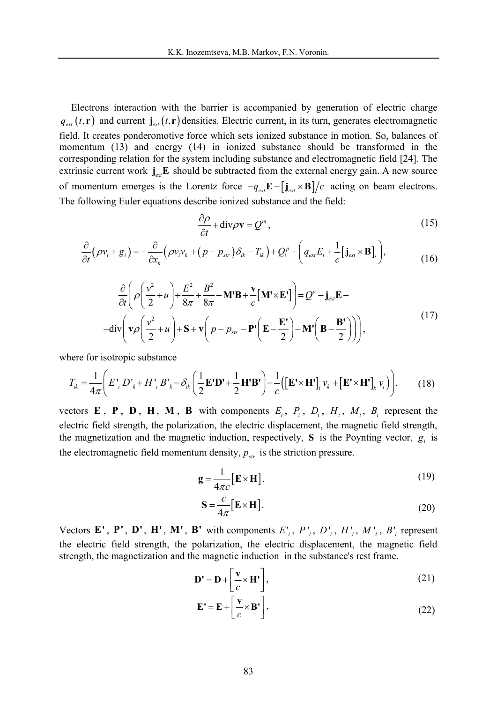Electrons interaction with the barrier is accompanied by generation of electric charge  $q_{ext}(t, r)$  and current  $\mathbf{j}_{ext}(t, r)$  densities. Electric current, in its turn, generates electromagnetic field. It creates ponderomotive force which sets ionized substance in motion. So, balances of momentum (13) and energy (14) in ionized substance should be transformed in the corresponding relation for the system including substance and electromagnetic field [24]. The extrinsic current work  $j_{\text{ext}} E$  should be subtracted from the external energy gain. A new source of momentum emerges is the Lorentz force  $-q_{ext} \mathbf{E} - [\mathbf{j}_{ext} \times \mathbf{B}]/c$  acting on beam electrons. The following Euler equations describe ionized substance and the field:

$$
\frac{\partial \rho}{\partial t} + \text{div}\rho \mathbf{v} = Q^m, \qquad (15)
$$

$$
\frac{\partial}{\partial t}(\rho v_i + g_i) = -\frac{\partial}{\partial x_k}(\rho v_i v_k + (p - p_{str})\delta_{ik} - T_{ik}) + Q_i^p - \left(q_{ext}E_i + \frac{1}{c}[\mathbf{j}_{ext} \times \mathbf{B}]_i\right),\tag{16}
$$

$$
\frac{\partial}{\partial t} \left( \rho \left( \frac{v^2}{2} + u \right) + \frac{E^2}{8\pi} + \frac{B^2}{8\pi} - \mathbf{M' B} + \frac{\mathbf{v}}{c} \left[ \mathbf{M' \times E'} \right] \right) = Q^{\varepsilon} - \mathbf{j}_{\text{ext}} \mathbf{E} -
$$
\n
$$
-\text{div} \left( \mathbf{v} \rho \left( \frac{v^2}{2} + u \right) + \mathbf{S} + \mathbf{v} \left( p - p_{\text{str}} - \mathbf{P'} \left( \mathbf{E} - \frac{\mathbf{E'}}{2} \right) - \mathbf{M'} \left( \mathbf{B} - \frac{\mathbf{B'}}{2} \right) \right) \right),\tag{17}
$$

where for isotropic substance

$$
T_{ik} = \frac{1}{4\pi} \left( E'_{i} D'_{k} + H'_{i} B'_{k} - \delta_{ik} \left( \frac{1}{2} \mathbf{E'D'} + \frac{1}{2} \mathbf{H'B'} \right) - \frac{1}{c} \left( \left[ \mathbf{E' \times H'} \right]_{i} \nu_{k} + \left[ \mathbf{E' \times H'} \right]_{k} \nu_{i} \right) \right), \tag{18}
$$

vectors **E**, **P**, **D**, **H**, **M**, **B** with components  $E_i$ ,  $P_i$ ,  $D_i$ ,  $H_i$ ,  $M_i$ ,  $B_i$  represent the electric field strength, the polarization, the electric displacement, the magnetic field strength, the magnetization and the magnetic induction, respectively, **S** is the Poynting vector,  $g_i$  is the electromagnetic field momentum density,  $p_{str}$  is the striction pressure.

$$
\mathbf{g} = \frac{1}{4\pi c} [\mathbf{E} \times \mathbf{H}], \tag{19}
$$

$$
\mathbf{S} = \frac{c}{4\pi} \left[ \mathbf{E} \times \mathbf{H} \right]. \tag{20}
$$

Vectors E', P', D', H', M', B' with components  $E_i$ ,  $P_i$ ,  $D_i$ ,  $H_i$ ,  $M_i$ ,  $B_i$  represent the electric field strength, the polarization, the electric displacement, the magnetic field strength, the magnetization and the magnetic induction in the substance's rest frame.

$$
\mathbf{D'} = \mathbf{D} + \left[\frac{\mathbf{v}}{c} \times \mathbf{H'}\right],\tag{21}
$$

$$
\mathbf{E'} = \mathbf{E} + \left[ \frac{\mathbf{v}}{c} \times \mathbf{B'} \right],\tag{22}
$$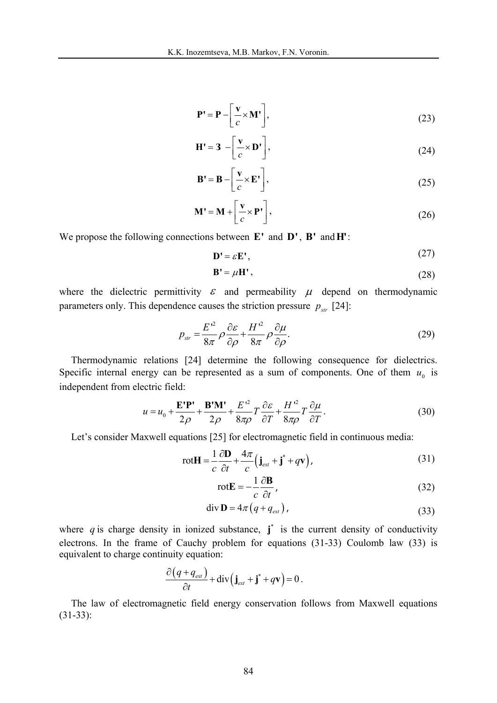$$
\mathbf{P'} = \mathbf{P} - \left[\frac{\mathbf{v}}{c} \times \mathbf{M'}\right],\tag{23}
$$

$$
\mathbf{H'} = 3 - \left[ \frac{\mathbf{v}}{c} \times \mathbf{D'} \right],\tag{24}
$$

$$
\mathbf{B'} = \mathbf{B} - \left[ \frac{\mathbf{v}}{c} \times \mathbf{E'} \right],\tag{25}
$$

$$
\mathbf{M'} = \mathbf{M} + \left[\frac{\mathbf{v}}{c} \times \mathbf{P'}\right],\tag{26}
$$

We propose the following connections between **E'** and **D'**, **B'** and**H'**:

$$
\mathbf{D'} = \varepsilon \mathbf{E'},\tag{27}
$$

$$
\mathbf{B'} = \mu \mathbf{H'},\tag{28}
$$

where the dielectric permittivity  $\varepsilon$  and permeability  $\mu$  depend on thermodynamic parameters only. This dependence causes the striction pressure  $p_{str}$  [24]:

$$
p_{str} = \frac{E^{\prime^2}}{8\pi} \rho \frac{\partial \varepsilon}{\partial \rho} + \frac{H^{\prime^2}}{8\pi} \rho \frac{\partial \mu}{\partial \rho}.
$$
 (29)

Thermodynamic relations [24] determine the following consequence for dielectrics. Specific internal energy can be represented as a sum of components. One of them  $u_0$  is independent from electric field:

$$
u = u_0 + \frac{\mathbf{E}'\mathbf{P}'}{2\rho} + \frac{\mathbf{B}'\mathbf{M}'}{2\rho} + \frac{E'^2}{8\pi\rho}T\frac{\partial \varepsilon}{\partial T} + \frac{H'^2}{8\pi\rho}T\frac{\partial \mu}{\partial T}.
$$
 (30)

Let's consider Maxwell equations [25] for electromagnetic field in continuous media:

$$
\text{rot}\mathbf{H} = \frac{1}{c}\frac{\partial \mathbf{D}}{\partial t} + \frac{4\pi}{c}\left(\mathbf{j}_{\text{ext}} + \mathbf{j}^* + q\mathbf{v}\right),\tag{31}
$$

$$
rotE = -\frac{1}{c} \frac{\partial \mathbf{B}}{\partial t},\tag{32}
$$

$$
\operatorname{div} \mathbf{D} = 4\pi \left( q + q_{\text{ext}} \right),\tag{33}
$$

where  $q$  is charge density in ionized substance,  $\mathbf{j}^*$  is the current density of conductivity electrons. In the frame of Cauchy problem for equations (31-33) Coulomb law (33) is equivalent to charge continuity equation:

$$
\frac{\partial (q+q_{ext})}{\partial t} + \text{div}(\mathbf{j}_{ext} + \mathbf{j}^* + q\mathbf{v}) = 0.
$$

The law of electromagnetic field energy conservation follows from Maxwell equations (31-33):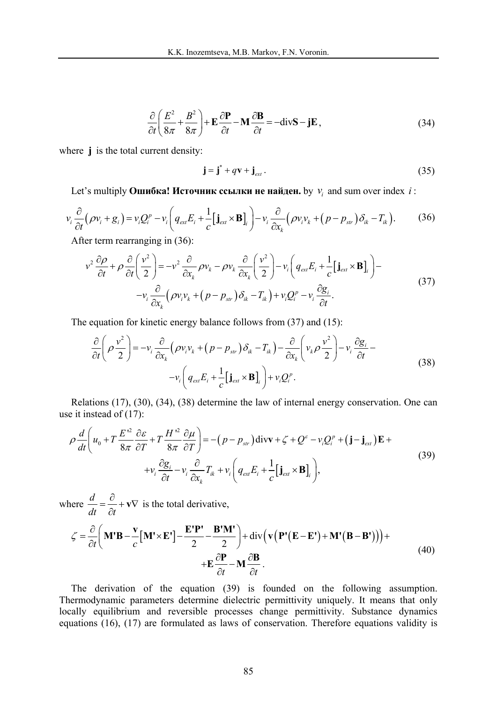$$
\frac{\partial}{\partial t} \left( \frac{E^2}{8\pi} + \frac{B^2}{8\pi} \right) + \mathbf{E} \frac{\partial \mathbf{P}}{\partial t} - \mathbf{M} \frac{\partial \mathbf{B}}{\partial t} = -\text{div} \mathbf{S} - \mathbf{j} \mathbf{E},
$$
\n(34)

where **j** is the total current density:

$$
\mathbf{j} = \mathbf{j}^* + q\mathbf{v} + \mathbf{j}_{ext} \,. \tag{35}
$$

Let's multiply **Ошибка! Источник ссылки не найден.** by  $v_i$  and sum over index *i* :

$$
v_i \frac{\partial}{\partial t} (\rho v_i + g_i) = v_i Q_i^p - v_i \left( q_{ext} E_i + \frac{1}{c} [\mathbf{j}_{ext} \times \mathbf{B}]_i \right) - v_i \frac{\partial}{\partial x_k} (\rho v_i v_k + (p - p_{str}) \delta_{ik} - T_{ik}). \tag{36}
$$

After term rearranging in (36):

$$
v^{2} \frac{\partial \rho}{\partial t} + \rho \frac{\partial}{\partial t} \left( \frac{v^{2}}{2} \right) = -v^{2} \frac{\partial}{\partial x_{k}} \rho v_{k} - \rho v_{k} \frac{\partial}{\partial x_{k}} \left( \frac{v^{2}}{2} \right) - v_{i} \left( q_{ext} E_{i} + \frac{1}{c} [\mathbf{j}_{ext} \times \mathbf{B}]_{i} \right) - v_{i} \frac{\partial}{\partial x_{k}} (\rho v_{i} v_{k} + (p - p_{str}) \delta_{ik} - T_{ik}) + v_{i} Q_{i}^{p} - v_{i} \frac{\partial g_{i}}{\partial t}.
$$
\n(37)

The equation for kinetic energy balance follows from (37) and (15):

$$
\frac{\partial}{\partial t} \left( \rho \frac{v^2}{2} \right) = -v_i \frac{\partial}{\partial x_k} \left( \rho v_i v_k + \left( p - p_{str} \right) \delta_{ik} - T_{ik} \right) - \frac{\partial}{\partial x_k} \left( v_k \rho \frac{v^2}{2} \right) - v_i \frac{\partial g_i}{\partial t} - v_i \left( q_{ext} E_i + \frac{1}{c} \left[ \mathbf{j}_{ext} \times \mathbf{B} \right]_i \right) + v_i Q_i^p. \tag{38}
$$

Relations (17), (30), (34), (38) determine the law of internal energy conservation. One can use it instead of (17):

$$
\rho \frac{d}{dt} \left( u_0 + T \frac{E^{\prime 2}}{8\pi} \frac{\partial \varepsilon}{\partial T} + T \frac{H^{\prime 2}}{8\pi} \frac{\partial \mu}{\partial T} \right) = -(p - p_{str}) \operatorname{div} \mathbf{v} + \zeta + Q^{\varepsilon} - v_i Q_i^p + (\mathbf{j} - \mathbf{j}_{ext}) \mathbf{E} +
$$
  
+  $v_i \frac{\partial g_i}{\partial t} - v_i \frac{\partial}{\partial x_k} T_{ik} + v_i \left( q_{ext} E_i + \frac{1}{c} [\mathbf{j}_{ext} \times \mathbf{B}]_i \right),$  (39)

where  $\frac{d}{dx}$ *dt*  $\partial t$  $=\frac{\partial}{\partial x} + \mathbf{v} \nabla$ ∂  $\mathbf{v} \nabla$  is the total derivative,

$$
\zeta = \frac{\partial}{\partial t} \left( \mathbf{M}^{\prime} \mathbf{B} - \frac{\mathbf{v}}{c} \left[ \mathbf{M}^{\prime} \times \mathbf{E}^{\prime} \right] - \frac{\mathbf{E}^{\prime} \mathbf{P}^{\prime}}{2} - \frac{\mathbf{B}^{\prime} \mathbf{M}^{\prime}}{2} \right) + \text{div} \left( \mathbf{v} \left( \mathbf{P}^{\prime} (\mathbf{E} - \mathbf{E}^{\prime}) + \mathbf{M}^{\prime} (\mathbf{B} - \mathbf{B}^{\prime}) \right) \right) + \mathbf{E} \frac{\partial \mathbf{P}}{\partial t} - \mathbf{M} \frac{\partial \mathbf{B}}{\partial t} .
$$
\n(40)

The derivation of the equation (39) is founded on the following assumption. Thermodynamic parameters determine dielectric permittivity uniquely. It means that only locally equilibrium and reversible processes change permittivity. Substance dynamics equations (16), (17) are formulated as laws of conservation. Therefore equations validity is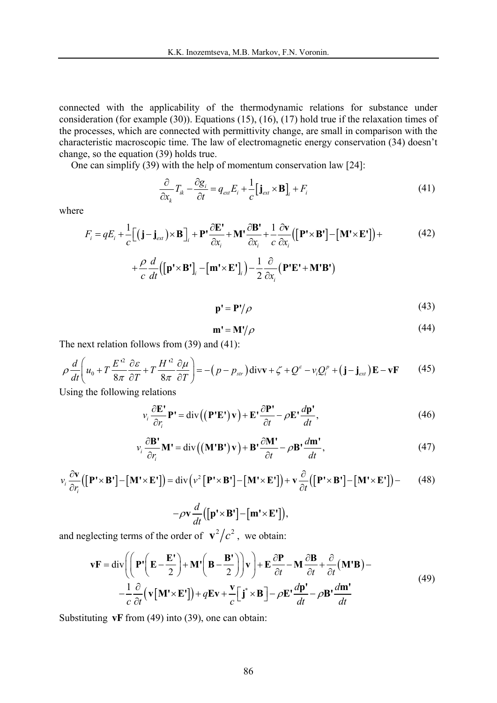connected with the applicability of the thermodynamic relations for substance under consideration (for example (30)). Equations (15), (16), (17) hold true if the relaxation times of the processes, which are connected with permittivity change, are small in comparison with the characteristic macroscopic time. The law of electromagnetic energy conservation (34) doesn't change, so the equation (39) holds true.

One can simplify (39) with the help of momentum conservation law [24]:

$$
\frac{\partial}{\partial x_k} T_{ik} - \frac{\partial g_i}{\partial t} = q_{ext} E_i + \frac{1}{c} [\mathbf{j}_{ext} \times \mathbf{B}]_i + F_i
$$
(41)

where

$$
F_i = qE_i + \frac{1}{c} \Big[ (\mathbf{j} - \mathbf{j}_{\text{ext}}) \times \mathbf{B} \Big]_i + \mathbf{P} \cdot \frac{\partial \mathbf{E}'}{\partial x_i} + \mathbf{M} \cdot \frac{\partial \mathbf{B}'}{\partial x_i} + \frac{1}{c} \frac{\partial \mathbf{v}}{\partial x_i} \Big( \Big[ \mathbf{P}^t \times \mathbf{B}^t \Big] - \Big[ \mathbf{M}^t \times \mathbf{E}^t \Big] \Big) + \tag{42}
$$

$$
+\frac{\rho}{c}\frac{d}{dt}\big(\big[\mathbf{p'}\times\mathbf{B'}\big]_i-\big[\mathbf{m'}\times\mathbf{E'}\big]_i\big)-\frac{1}{2}\frac{\partial}{\partial x_i}\big(\mathbf{P'}\mathbf{E'}+\mathbf{M'}\mathbf{B'}\big)
$$

$$
\mathbf{p'} = \mathbf{P'} / \rho \tag{43}
$$

$$
\mathbf{m'} = \mathbf{M'} / \rho \tag{44}
$$

The next relation follows from (39) and (41):

$$
\rho \frac{d}{dt} \left( u_0 + T \frac{E^2}{8\pi} \frac{\partial \varepsilon}{\partial T} + T \frac{H^2}{8\pi} \frac{\partial \mu}{\partial T} \right) = -\left( p - p_{str} \right) \text{div} \mathbf{v} + \zeta + Q^{\varepsilon} - v_i Q_i^p + \left( \mathbf{j} - \mathbf{j}_{\text{ext}} \right) \mathbf{E} - \mathbf{v} \mathbf{F} \tag{45}
$$

Using the following relations

$$
v_i \frac{\partial \mathbf{E}^*}{\partial r_i} \mathbf{P}^* = \text{div}\left( (\mathbf{P}^* \mathbf{E}^*) \mathbf{v} \right) + \mathbf{E}^* \frac{\partial \mathbf{P}^*}{\partial t} - \rho \mathbf{E}^* \frac{d\mathbf{p}^*}{dt},\tag{46}
$$

$$
v_i \frac{\partial \mathbf{B}^*}{\partial r_i} \mathbf{M}^* = \text{div}\left( (\mathbf{M}^* \mathbf{B}^*) \mathbf{v} \right) + \mathbf{B}^* \frac{\partial \mathbf{M}^*}{\partial t} - \rho \mathbf{B}^* \frac{d \mathbf{m}^*}{dt},\tag{47}
$$

$$
v_i \frac{\partial \mathbf{v}}{\partial r_i} ([\mathbf{P}' \times \mathbf{B}'] - [\mathbf{M}' \times \mathbf{E}')] = \text{div} \left( v^2 [\mathbf{P}' \times \mathbf{B}'] - [\mathbf{M}' \times \mathbf{E}'] \right) + \mathbf{v} \frac{\partial}{\partial t} ([\mathbf{P}' \times \mathbf{B}'] - [\mathbf{M}' \times \mathbf{E}'] ) - \tag{48}
$$

$$
-\rho \mathbf{v} \frac{d}{dt}([\mathbf{p}' \times \mathbf{B'}] - [\mathbf{m}' \times \mathbf{E'}]),
$$

and neglecting terms of the order of  $\mathbf{v}^2/c^2$ , we obtain:

$$
\mathbf{v} \mathbf{F} = \text{div}\left(\left(\mathbf{P}'\left(\mathbf{E} - \frac{\mathbf{E}'}{2}\right) + \mathbf{M}'\left(\mathbf{B} - \frac{\mathbf{B}'}{2}\right)\right)\mathbf{v}\right) + \mathbf{E}\frac{\partial \mathbf{P}}{\partial t} - \mathbf{M}\frac{\partial \mathbf{B}}{\partial t} + \frac{\partial}{\partial t}(\mathbf{M}'\mathbf{B}) - \frac{1}{c}\frac{\partial}{\partial t}\left(\mathbf{v}[\mathbf{M}' \times \mathbf{E}']\right) + q\mathbf{E}\mathbf{v} + \frac{\mathbf{v}}{c}\left[\mathbf{j}^* \times \mathbf{B}\right] - \rho \mathbf{E}'\frac{d\mathbf{p}'}{dt} - \rho \mathbf{B}'\frac{d\mathbf{m}'}{dt}
$$
\n(49)

Substituting **vF** from (49) into (39), one can obtain: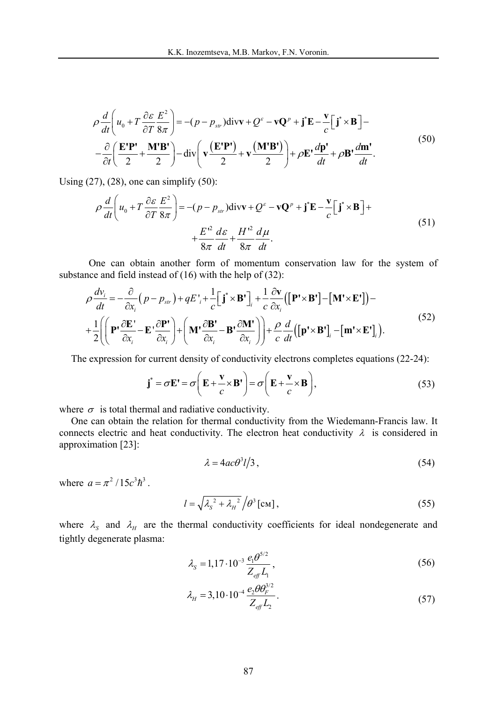$$
\rho \frac{d}{dt} \left( u_0 + T \frac{\partial \varepsilon}{\partial T} \frac{E^2}{8\pi} \right) = -(p - p_{str}) \text{div}{\bf v} + Q^{\varepsilon} - {\bf v} \mathbf{Q}^p + {\bf j}^* {\bf E} - \frac{\bf v}{c} \Big[ {\bf j}^* \times {\bf B} \Big] -
$$
  
 
$$
- \frac{\partial}{\partial t} \Big( \frac{{\bf E}' {\bf P}'}{2} + \frac{{\bf M}' {\bf B}'}{2} \Big) - \text{div} \Big( {\bf v} \frac{({\bf E}' {\bf P}')}{2} + {\bf v} \frac{({\bf M}' {\bf B}')}{2} \Big) + \rho {\bf E}' \frac{d{\bf p}'}{dt} + \rho {\bf B}' \frac{d{\bf m}'}{dt}.
$$
 (50)

Using  $(27)$ ,  $(28)$ , one can simplify  $(50)$ :

$$
\rho \frac{d}{dt} \left( u_0 + T \frac{\partial \varepsilon}{\partial T} \frac{E^2}{8\pi} \right) = -(p - p_{str}) \text{div}\mathbf{v} + Q^{\varepsilon} - \mathbf{v} \mathbf{Q}^p + \mathbf{j}^* \mathbf{E} - \frac{\mathbf{v}}{c} \Big[ \mathbf{j}^* \times \mathbf{B} \Big] +
$$
  
+ 
$$
\frac{E^2}{8\pi} \frac{d\varepsilon}{dt} + \frac{H^2}{8\pi} \frac{d\mu}{dt}.
$$
 (51)

One can obtain another form of momentum conservation law for the system of substance and field instead of (16) with the help of (32):

$$
\rho \frac{dv_i}{dt} = -\frac{\partial}{\partial x_i} (p - p_{str}) + qE'_{i} + \frac{1}{c} \left[ \mathbf{j}^* \times \mathbf{B}^* \right]_i + \frac{1}{c} \frac{\partial \mathbf{v}}{\partial x_i} (\left[ \mathbf{P}^* \times \mathbf{B}^* \right] - \left[ \mathbf{M}^* \times \mathbf{E}^* \right]) -
$$
  
+ 
$$
\frac{1}{2} \left( \left( \mathbf{P}^* \frac{\partial \mathbf{E}^*}{\partial x_i} - \mathbf{E}^* \frac{\partial \mathbf{P}^*}{\partial x_i} \right) + \left( \mathbf{M}^* \frac{\partial \mathbf{B}^*}{\partial x_i} - \mathbf{B}^* \frac{\partial \mathbf{M}^*}{\partial x_i} \right) \right) + \frac{\rho}{c} \frac{d}{dt} \left( \left[ \mathbf{p}^* \times \mathbf{B}^* \right]_i - \left[ \mathbf{m}^* \times \mathbf{E}^* \right]_i \right).
$$
 (52)

The expression for current density of conductivity electrons completes equations (22-24):

$$
\mathbf{j}^* = \sigma \mathbf{E}' = \sigma \left( \mathbf{E} + \frac{\mathbf{v}}{c} \times \mathbf{B}' \right) = \sigma \left( \mathbf{E} + \frac{\mathbf{v}}{c} \times \mathbf{B} \right),\tag{53}
$$

where  $\sigma$  is total thermal and radiative conductivity.

One can obtain the relation for thermal conductivity from the Wiedemann-Francis law. It connects electric and heat conductivity. The electron heat conductivity  $\lambda$  is considered in approximation [23]:

$$
\lambda = 4ac\theta^3 l/3 \tag{54}
$$

where  $a = \pi^2 / 15c^3 \hbar^3$ .

$$
l = \sqrt{\lambda_s^2 + \lambda_H^2} / \theta^3 \text{[cm]},
$$
\n(55)

where  $\lambda_{S}$  and  $\lambda_{H}$  are the thermal conductivity coefficients for ideal nondegenerate and tightly degenerate plasma:

$$
\lambda_{s} = 1,17 \cdot 10^{-3} \frac{e_{1} \theta^{5/2}}{Z_{\text{eff}} L_{1}},
$$
\n(56)

$$
\lambda_H = 3,10 \cdot 10^{-4} \frac{e_2 \theta \theta_F^{3/2}}{Z_{\text{eff}} L_2}.
$$
\n(57)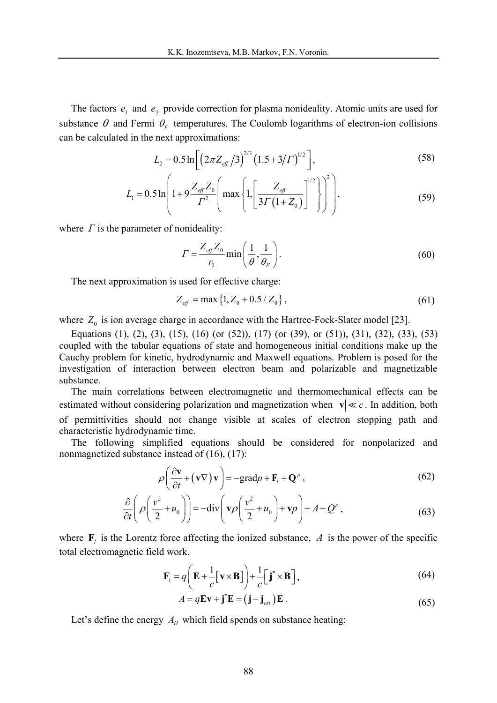The factors  $e_1$  and  $e_2$  provide correction for plasma nonideality. Atomic units are used for substance  $\theta$  and Fermi  $\theta_F$  temperatures. The Coulomb logarithms of electron-ion collisions can be calculated in the next approximations:

$$
L_2 = 0.5 \ln \left[ \left( 2\pi Z_{\text{eff}} / 3 \right)^{2/3} \left( 1.5 + 3/T \right)^{1/2} \right],\tag{58}
$$

$$
L_1 = 0.5 \ln \left( 1 + 9 \frac{Z_{\text{eff}} Z_0}{\Gamma^2} \left( \max \left\{ 1, \left[ \frac{Z_{\text{eff}}}{3\Gamma (1 + Z_0)} \right]^{1/2} \right\} \right)^2 \right), \tag{59}
$$

where  $\Gamma$  is the parameter of nonideality:

$$
\Gamma = \frac{Z_{\text{eff}} Z_0}{r_0} \min\left(\frac{1}{\theta}, \frac{1}{\theta_F}\right). \tag{60}
$$

The next approximation is used for effective charge:

$$
Z_{\text{eff}} = \max\left\{1, Z_0 + 0.5 / Z_0\right\},\tag{61}
$$

where  $Z_0$  is ion average charge in accordance with the Hartree-Fock-Slater model [23].

Equations (1), (2), (3), (15), (16) (or (52)), (17) (or (39), or (51)), (31), (32), (33), (53) coupled with the tabular equations of state and homogeneous initial conditions make up the Cauchy problem for kinetic, hydrodynamic and Maxwell equations. Problem is posed for the investigation of interaction between electron beam and polarizable and magnetizable substance.

The main correlations between electromagnetic and thermomechanical effects can be estimated without considering polarization and magnetization when  $|\mathbf{v}| \ll c$ . In addition, both of permittivities should not change visible at scales of electron stopping path and characteristic hydrodynamic time.

The following simplified equations should be considered for nonpolarized and nonmagnetized substance instead of (16), (17):

$$
\rho \left( \frac{\partial \mathbf{v}}{\partial t} + (\mathbf{v} \nabla) \mathbf{v} \right) = -\text{grad} p + \mathbf{F}_l + \mathbf{Q}^p, \qquad (62)
$$

$$
\frac{\partial}{\partial t} \left( \rho \left( \frac{v^2}{2} + u_0 \right) \right) = -\text{div} \left( \mathbf{v} \rho \left( \frac{v^2}{2} + u_0 \right) + \mathbf{v} \rho \right) + A + Q^{\varepsilon} \,, \tag{63}
$$

where  $\mathbf{F}_l$  is the Lorentz force affecting the ionized substance, *A* is the power of the specific total electromagnetic field work.

$$
\mathbf{F}_l = q \left( \mathbf{E} + \frac{1}{c} [\mathbf{v} \times \mathbf{B}] \right) + \frac{1}{c} [\mathbf{j}^* \times \mathbf{B}],
$$
 (64)

$$
A = q\mathbf{E}\mathbf{v} + \mathbf{j}^*\mathbf{E} = (\mathbf{j} - \mathbf{j}_{\text{ext}})\mathbf{E}.
$$
 (65)

Let's define the energy  $A_\mu$  which field spends on substance heating: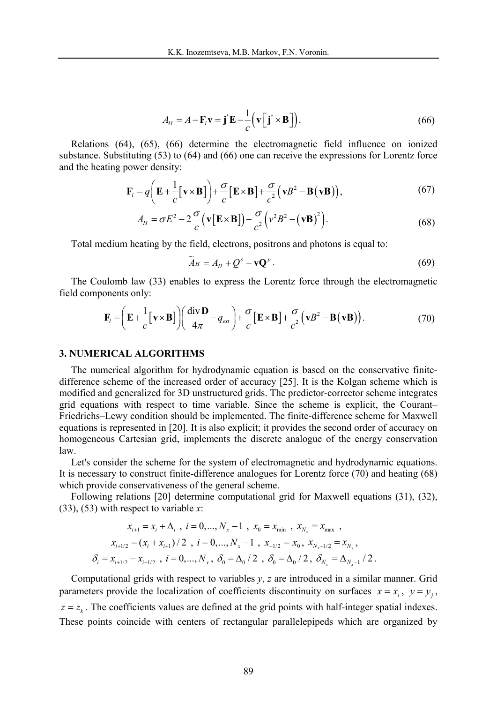$$
A_H = A - \mathbf{F}_l \mathbf{v} = \mathbf{j}^* \mathbf{E} - \frac{1}{c} \left( \mathbf{v} \left[ \mathbf{j}^* \times \mathbf{B} \right] \right).
$$
 (66)

Relations (64), (65), (66) determine the electromagnetic field influence on ionized substance. Substituting (53) to (64) and (66) one can receive the expressions for Lorentz force and the heating power density:

$$
\mathbf{F}_l = q \bigg( \mathbf{E} + \frac{1}{c} [\mathbf{v} \times \mathbf{B}] \bigg) + \frac{\sigma}{c} [\mathbf{E} \times \mathbf{B}] + \frac{\sigma}{c^2} (\mathbf{v} B^2 - \mathbf{B} (\mathbf{v} \mathbf{B})), \tag{67}
$$

$$
A_H = \sigma E^2 - 2\frac{\sigma}{c} (\mathbf{v} [\mathbf{E} \times \mathbf{B}]) - \frac{\sigma}{c^2} (\nu^2 B^2 - (\mathbf{v} \mathbf{B})^2).
$$
 (68)

Total medium heating by the field, electrons, positrons and photons is equal to:

$$
\widetilde{A}_H = A_H + Q^{\varepsilon} - \mathbf{v} \mathbf{Q}^p. \tag{69}
$$

The Coulomb law (33) enables to express the Lorentz force through the electromagnetic field components only:

$$
\mathbf{F}_{l} = \left(\mathbf{E} + \frac{1}{c} [\mathbf{v} \times \mathbf{B}]\right) \left(\frac{\text{div}\,\mathbf{D}}{4\pi} - q_{\text{ext}}\right) + \frac{\sigma}{c} [\mathbf{E} \times \mathbf{B}] + \frac{\sigma}{c^{2}} (\mathbf{v}B^{2} - \mathbf{B} (\mathbf{v}B)).
$$
\n(70)

#### **3. NUMERICAL ALGORITHMS**

The numerical algorithm for hydrodynamic equation is based on the conservative finitedifference scheme of the increased order of accuracy [25]. It is the Kolgan scheme which is modified and generalized for 3D unstructured grids. The predictor-corrector scheme integrates grid equations with respect to time variable. Since the scheme is explicit, the Courant Friedrichs–Lewy condition should be implemented. The finite-difference scheme for Maxwell equations is represented in [20]. It is also explicit; it provides the second order of accuracy on homogeneous Cartesian grid, implements the discrete analogue of the energy conservation law.

Let's consider the scheme for the system of electromagnetic and hydrodynamic equations. It is necessary to construct finite-difference analogues for Lorentz force (70) and heating (68) which provide conservativeness of the general scheme.

Following relations [20] determine computational grid for Maxwell equations (31), (32), (33), (53) with respect to variable *x*:

$$
x_{i+1} = x_i + \Delta_i, \quad i = 0, ..., N_x - 1, \quad x_0 = x_{\min}, \quad x_{N_x} = x_{\max},
$$
  

$$
x_{i+1/2} = (x_i + x_{i+1})/2, \quad i = 0, ..., N_x - 1, \quad x_{-1/2} = x_0, \quad x_{N_x + 1/2} = x_{N_x},
$$
  

$$
\delta_i = x_{i+1/2} - x_{i-1/2}, \quad i = 0, ..., N_x, \quad \delta_0 = \Delta_0/2, \quad \delta_0 = \Delta_0/2, \quad \delta_{N_x} = \Delta_{N_x - 1}/2.
$$

Computational grids with respect to variables *y*, *z* are introduced in a similar manner. Grid parameters provide the localization of coefficients discontinuity on surfaces  $x = x_i$ ,  $y = y_i$ ,  $z = z<sub>k</sub>$ . The coefficients values are defined at the grid points with half-integer spatial indexes. These points coincide with centers of rectangular parallelepipeds which are organized by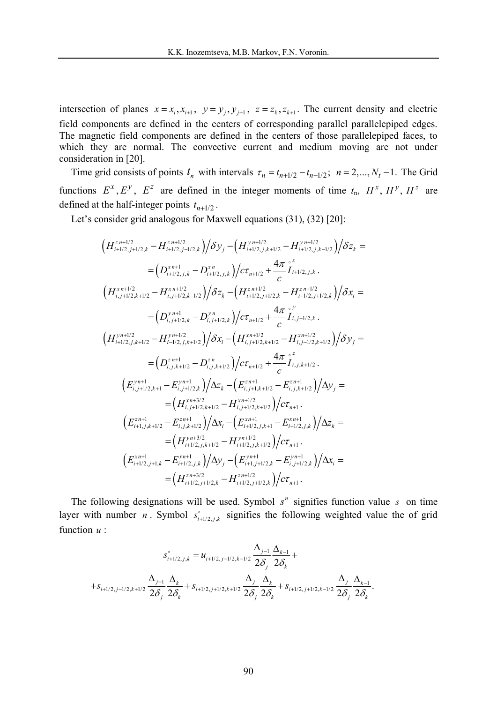intersection of planes  $x = x_i, x_{i+1}, y = y_j, y_{j+1}, z = z_k, z_{k+1}$ . The current density and electric field components are defined in the centers of corresponding parallel parallelepiped edges. The magnetic field components are defined in the centers of those parallelepiped faces, to which they are normal. The convective current and medium moving are not under consideration in [20].

Time grid consists of points  $t_n$  with intervals  $\tau_n = t_{n+1/2} - t_{n-1/2}$ ;  $n = 2,..., N_t - 1$ . The Grid functions  $E^x$ ,  $E^y$ ,  $E^z$  are defined in the integer moments of time  $t_n$ ,  $H^x$ ,  $H^y$ ,  $H^z$  are defined at the half-integer points  $t_{n+1/2}$ .

Let's consider grid analogous for Maxwell equations  $(31)$ ,  $(32)$   $[20]$ :

$$
(H_{i+1/2,j+1/2,k}^{z n+1/2} - H_{i+1/2,j-1/2,k}^{z n+1/2})/\delta y_j - (H_{i+1/2,j,k+1/2}^{y n+1/2} - H_{i+1/2,j,k-1/2}^{y n+1/2})/\delta z_k =
$$
  
\n
$$
= (D_{i+1/2,j,k}^{x n+1} - D_{i+1/2,j,k}^{x n})/c\tau_{n+1/2} + \frac{4\pi}{c} \int_{i+1/2,j,k}^{x n}.
$$
  
\n
$$
(H_{i,j+1/2,k+1/2}^{x n+1/2} - H_{i,j+1/2,k-1/2}^{x n+1/2})/\delta z_k - (H_{i+1/2,j+1/2,k}^{z n+1/2} - H_{i-1/2,j+1/2,k}^{z n+1/2})/\delta x_i =
$$
  
\n
$$
= (D_{i,j+1/2,k}^{y n+1} - D_{i,j+1/2,k}^{y n})/c\tau_{n+1/2} + \frac{4\pi}{c} \int_{i,j+1/2,k}^{y y}.
$$
  
\n
$$
(H_{i+1/2,j,k+1/2}^{y n+1/2} - H_{i-1/2,j,k+1/2}^{y n+1/2})/\delta x_i - (H_{i,j+1/2,k+1/2}^{x n+1/2} - H_{i,j-1/2,k+1/2}^{x n+1/2})/\delta y_j =
$$
  
\n
$$
= (D_{i,j,k+1/2}^{z n+1} - D_{i,j,k+1/2}^{z n})/c\tau_{n+1/2} + \frac{4\pi}{c} \int_{i,j,k+1/2}^{z}.
$$
  
\n
$$
(E_{i,j+1/2,k+1}^{y n+1} - E_{i,j+1/2,k}^{y n+1})/\Delta z_k - (E_{i,j+1,k+1/2}^{z n+1} - E_{i,j,k+1/2}^{z n+1})/\Delta y_j =
$$
  
\n
$$
= (H_{i,j+1/2,k+1/2}^{z n+1/2} - H_{i,j+1/2,k+1/2}^{z n+1/2})/c\tau_{n+1}.
$$
  
\n
$$
(E_{i+1,j,k+1/2}^{z n+1
$$

The following designations will be used. Symbol  $s<sup>n</sup>$  signifies function value  $s<sup>n</sup>$  on time layer with number *n*. Symbol  $s_{i+l/2,j,k}^{\circ}$  signifies the following weighted value the of grid function *u* :

$$
S_{i+1/2,j,k}^{\circ} = u_{i+1/2,j-1/2,k-1/2} \frac{\Delta_{j-1}}{2\delta_j} \frac{\Delta_{k-1}}{2\delta_k} ++S_{i+1/2,j-1/2,k+1/2} \frac{\Delta_{j-1}}{2\delta_j} \frac{\Delta_k}{2\delta_k} + S_{i+1/2,j+1/2,k+1/2} \frac{\Delta_j}{2\delta_j} \frac{\Delta_k}{2\delta_k} + S_{i+1/2,j+1/2,k-1/2} \frac{\Delta_j}{2\delta_j} \frac{\Delta_{k-1}}{2\delta_k}.
$$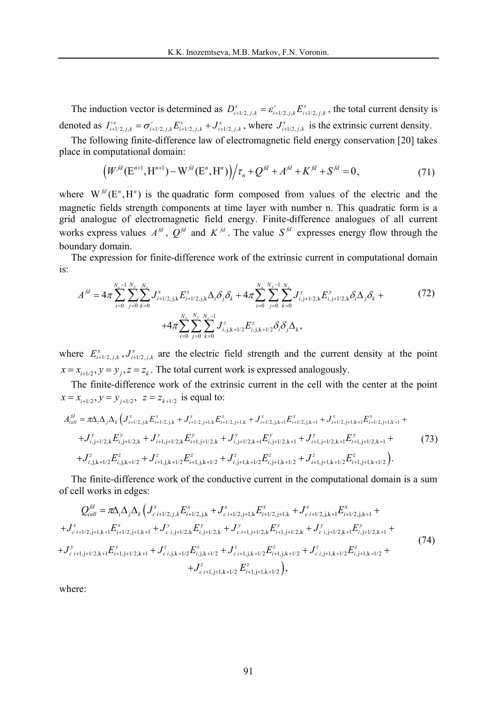The induction vector is determined as  $D_{i+1/2, j, k}^x = \varepsilon_{i+1/2, j, k}^{\varepsilon} E_{i+1/2, j, k}^x$ , the total current density is denoted as  $I_{i+1/2, j,k}^{\circ x} = \sigma_{i+1/2, j,k}^{\circ} E_{i+1/2, j,k}^x + J_{i+1/2, j,k}^x$ , where  $J_{i+1/2, j,k}^x$  is the extrinsic current density.

The following finite-difference law of electromagnetic field energy conservation [20] takes place in computational domain:

$$
\left(W^{fd}(\mathbf{E}^{n+1}, \mathbf{H}^{n+1}) - W^{fd}(\mathbf{E}^n, \mathbf{H}^n)\right) / \tau_n + Q^{fd} + A^{fd} + K^{fd} + S^{fd} = 0,\tag{71}
$$

where  $W^{j d}(E^n, H^n)$  is the quadratic form composed from values of the electric and the magnetic fields strength components at time layer with number n. This quadratic form is a grid analogue of electromagnetic field energy. Finite-difference analogues of all current works express values  $A^{fd}$ ,  $Q^{fd}$  and  $K^{fd}$ . The value  $S^{fd}$  expresses energy flow through the boundary domain.

The expression for finite-difference work of the extrinsic current in computational domain is:

$$
A^{fd} = 4\pi \sum_{i=0}^{N_x - 1} \sum_{j=0}^{N_y} \sum_{k=0}^{N_z} J_{i+1/2,j,k}^x E_{i+1/2,j,k}^x \Delta_i \delta_j \delta_k + 4\pi \sum_{i=0}^{N_x} \sum_{j=0}^{N_y - 1} \sum_{k=0}^{N_z} J_{i,j+1/2,k}^y E_{i,j+1/2,k}^y \delta_i \Delta_j \delta_k +
$$
  
+4 $\pi \sum_{i=0}^{N_x} \sum_{j=0}^{N_y} \sum_{k=0}^{N_z - 1} J_{i,j,k+1/2}^z E_{i,j,k+1/2}^z \delta_i \delta_j \Delta_k,$  (72)

where  $E_{i+1/2, j, k}^x$ ,  $J_{i+1/2, j, k}^x$  are the electric field strength and the current density at the point  $x = x_{i+1/2}, y = y_i, z = z_k$ . The total current work is expressed analogously.

The finite-difference work of the extrinsic current in the cell with the center at the point  $x = x_{i+1/2}, y = y_{i+1/2}, z = z_{k+1/2}$  is equal to:

$$
A_{cell}^{fd} = \pi \Delta_i \Delta_j \Delta_k \left( J_{i+1/2,j,k}^* E_{i+1/2,j,k}^* + J_{i+1/2,j+1,k}^* E_{i+1/2,j+1,k}^* + J_{i+1/2,j,k+1}^* E_{i+1/2,j,k+1}^* + J_{i+1/2,j+1,k+1}^* E_{i+1/2,j+1,k+1}^* + J_{i,j+1/2,k}^* E_{i,j+1/2,k}^* + J_{i+1,j+1/2,k}^* E_{i+1,j+1/2,k}^* + J_{i,j+1/2,k+1}^* E_{i,j+1/2,k+1}^* E_{i+1,j+1/2,k+1}^* + J_{i+1,j+1/2,k+1}^* E_{i+1,j+1/2,k+1}^* + J_{i,j,k+1/2}^* E_{i,j,k+1/2}^* + J_{i+1,j,k+1/2}^* E_{i,j,k+1/2}^* + J_{i+1,j,k+1/2}^* E_{i,j,k+1/2}^* + J_{i+1,j,k+1/2}^* E_{i,j,k+1/2}^* + J_{i+1,j,k+1/2}^* E_{i,j,k+1/2}^* + J_{i+1,j,k+1/2}^* E_{i,j,k+1/2}^* + J_{i+1,j,k+1/2}^* E_{i,j+1,1/2,k+1}^* + J_{i+1,j+1,1/2}^* E_{i,j+1,1/2}^* + J_{i+1,j+1,1/2}^* E_{i,j,k+1/2}^* + J_{i+1,j,k+1/2}^* E_{i,j+1,1/2}^* + J_{i+1,j+1/2,1/*}^* E_{i,j+1,1/2}^* + J_{i+1,j+1/2,1/*}^* E_{i,j+1,1/2}^* + J_{i+1,j+1/2,1/*}^* E_{i,j+1,1/2}^* + J_{i+1,j+1/2,1/*}^* E_{i,j+1,1/2}^* + J_{i+1,j+1/2,1/*}^* E_{i,j+1,1/2}^* + J_{i+1,j+1/2,1/*}^* E_{i,j+1/2}^* + J_{i+1,j+1/2,1/*}^* E_{i,j+1/2}^* E
$$

The finite-difference work of the conductive current in the computational domain is а sum of cell works in edges:

$$
Q_{cell}^{jl} = \pi \Delta_i \Delta_j \Delta_k \left( J_{c\ i+1/2,j,k}^x E_{i+1/2,j,k}^x + J_{c\ i+1/2,j+1,k}^x E_{i+1/2,j+1,k}^x + J_{c\ i+1/2,j,k+1}^x E_{i+1/2,j,k+1}^x + J_{c\ i+1/2,j+1,k+1}^x E_{i+1/2,j+1,k+1}^x + J_{c\ i,j+1/2,k}^y E_{i,j+1/2,k}^y + J_{c\ i+1,j+1/2,k}^y E_{i+1,j+1/2,k}^y + J_{c\ i,j+1/2,k+1}^y E_{i,j+1/2,k+1}^y + J_{c\ i+1,j+1/2,k+1}^z E_{i,j+1/2,k+1}^z + J_{c\ i+1,j+1/2}^z E_{i,j,k+1/2}^z + J_{c\ i+1,j+1,k+1/2}^z E_{i,j+1,k+1/2}^z E_{i,j+1,k+1/2}^z + J_{c\ i+1,j+1,k+1/2}^z E_{i,j+1,k+1/2}^z E_{i,j+1,k+1/2}^z + J_{c\ i+1,j+1,k+1/2}^z E_{i,j+1,k+1/2}^z E_{i,j+1,k+1/2}^z + J_{c\ i+1,j+1,k+1/2}^z E_{i,j+1,k+1/2}^z E_{i,j+1,k+1/2}^z + J_{c\ i+1,j+1,k+1/2}^z E_{i,j+1,k+1/2}^z E_{i,j+1,k+1/2}^z + J_{c\ i+1,j+1,k+1/2}^z E_{i,j+1,k+1/2}^z E_{i,j+1,k+1/2}^z + J_{c\ i+1,j+1,k+1/2}^z E_{i,j+1,k+1/2}^z E_{i,j+1,k+1/2}^z + J_{c\ i+1,j+1,k+1/2}^z E_{i,j+1,k+1/2}^z E_{i,j+1,k+1/2}^z + J_{c\ i+1,j+1,k+1/2}^z E_{i,j+1,k+1/2}^z E_{i,j+1,k+1/2}^z + J_{c\ i+1,j+1,k+1/2}^z E_{i,j+1,k+1/2}^z E_{i,j+1,k+
$$

where: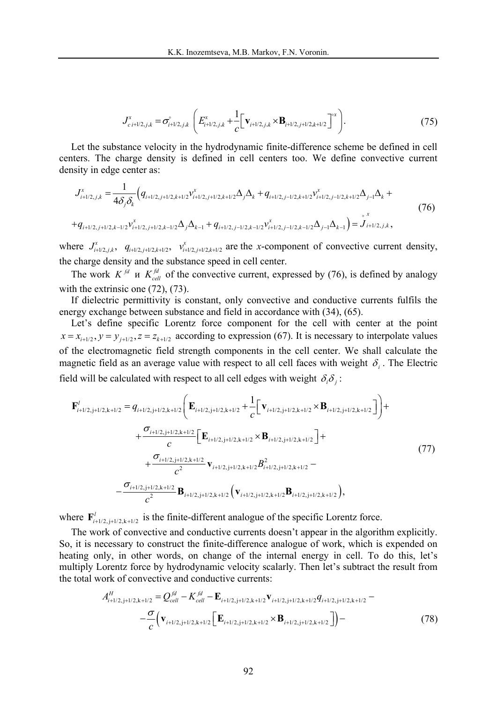$$
J_{c\ i+1/2,j,k}^{x} = \sigma_{i+1/2,j,k}^{\circ} \left( E_{i+1/2,j,k}^{x} + \frac{1}{c} \left[ \mathbf{v}_{i+1/2,j,k} \times \mathbf{B}_{i+1/2,j+1/2,k+1/2} \right]^{x} \right). \tag{75}
$$

Let the substance velocity in the hydrodynamic finite-difference scheme be defined in cell centers. The charge density is defined in cell centers too. We define convective current density in edge center as:

$$
J_{i+1/2,j,k}^{x} = \frac{1}{4\delta_{j}\delta_{k}} \Big( q_{i+1/2,j+1/2,k+1/2} y_{i+1/2,j+1/2,k+1/2}^{x} \Delta_{j} \Delta_{k} + q_{i+1/2,j-1/2,k+1/2} y_{i+1/2,j-1/2,k+1/2}^{x} \Delta_{j-1} \Delta_{k} +
$$
  
+
$$
q_{i+1/2,j+1/2,k-1/2} y_{i+1/2,j+1/2,k-1/2}^{x} \Delta_{j} \Delta_{k-1} + q_{i+1/2,j-1/2,k-1/2} y_{i+1/2,j-1/2,k-1/2}^{x} \Delta_{j-1} \Delta_{k-1} \Big) = J_{i+1/2,j,k}^{x},
$$
\n(76)

where  $J^x_{i+l/2,j,k}$ ,  $q_{i+l/2,j+l/2,k+l/2}$ ,  $v^x_{i+l/2,j+l/2,k+l/2}$  are the *x*-component of convective current density, the charge density and the substance speed in cell center.

The work  $K^{fd}$  *K*  $K^{fd}$  of the convective current, expressed by (76), is defined by analogy with the extrinsic one (72), (73).

If dielectric permittivity is constant, only convective and conductive currents fulfils the energy exchange between substance and field in accordance with (34), (65).

Let's define specific Lorentz force component for the cell with center at the point  $x = x_{i+1/2}$ ,  $y = y_{j+1/2}$ ,  $z = z_{k+1/2}$  according to expression (67). It is necessary to interpolate values of the electromagnetic field strength components in the cell center. We shall calculate the magnetic field as an average value with respect to all cell faces with weight  $\delta$ . The Electric field will be calculated with respect to all cell edges with weight  $\delta_i \delta_j$ :

$$
\mathbf{F}_{i+1/2,j+1/2,k+1/2}^{l} = q_{i+1/2,j+1/2,k+1/2} \left( \mathbf{E}_{i+1/2,j+1/2,k+1/2} + \frac{1}{c} \left[ \mathbf{v}_{i+1/2,j+1/2,k+1/2} \times \mathbf{B}_{i+1/2,j+1/2,k+1/2} \right] \right) +
$$
  
+ 
$$
\frac{\sigma_{i+1/2,j+1/2,k+1/2}}{c} \left[ \mathbf{E}_{i+1/2,j+1/2,k+1/2} \times \mathbf{B}_{i+1/2,j+1/2,k+1/2} \right] +
$$
  
+ 
$$
\frac{\sigma_{i+1/2,j+1/2,k+1/2}}{c^2} \mathbf{v}_{i+1/2,j+1/2,k+1/2} B_{i+1/2,j+1/2,k+1/2}^{2} -
$$

$$
-\frac{\sigma_{i+1/2,j+1/2,k+1/2}}{c^2} \mathbf{B}_{i+1/2,j+1/2,k+1/2} \left( \mathbf{v}_{i+1/2,j+1/2,k+1/2} \mathbf{B}_{i+1/2,j+1/2,k+1/2} \right),
$$
(77)

where  $\mathbf{F}_{i+1/2, j+1/2, k+1/2}^{l}$  is the finite-different analogue of the specific Lorentz force.

The work of convective and conductive currents doesn't appear in the algorithm explicitly. So, it is necessary to construct the finite-difference analogue of work, which is expended on heating only, in other words, on change of the internal energy in cell. To do this, let's multiply Lorentz force by hydrodynamic velocity scalarly. Then let's subtract the result from the total work of convective and conductive currents:

$$
A_{i+1/2,j+1/2,k+1/2}^{H} = Q_{cell}^{fd} - K_{cell}^{fd} - \mathbf{E}_{i+1/2,j+1/2,k+1/2} \mathbf{v}_{i+1/2,j+1/2,k+1/2} q_{i+1/2,j+1/2,k+1/2} -
$$
  

$$
- \frac{\sigma}{c} \Big( \mathbf{v}_{i+1/2,j+1/2,k+1/2} \Big[ \mathbf{E}_{i+1/2,j+1/2,k+1/2} \times \mathbf{B}_{i+1/2,j+1/2,k+1/2} \Big] \Big) -
$$
(78)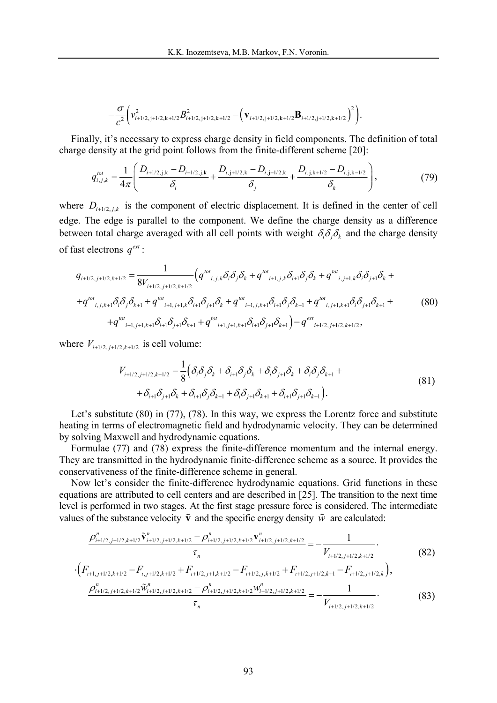$$
-\frac{\sigma}{c^2}\Big(\nu_{i+1/2,j+1/2,k+1/2}^2B_{i+1/2,j+1/2,k+1/2}^2-\Big(\mathbf{v}_{i+1/2,j+1/2,k+1/2}\mathbf{B}_{i+1/2,j+1/2,k+1/2}\Big)^2\Big).
$$

Finally, it's necessary to express charge density in field components. The definition of total charge density at the grid point follows from the finite-different scheme [20]:

$$
q_{i,j,k}^{tot} = \frac{1}{4\pi} \left( \frac{D_{i+1/2,j,k} - D_{i-1/2,j,k}}{\delta_i} + \frac{D_{i,j+1/2,k} - D_{i,j-1/2,k}}{\delta_j} + \frac{D_{i,j,k+1/2} - D_{i,j,k-1/2}}{\delta_k} \right),
$$
(79)

where  $D_{i+1/2, j, k}$  is the component of electric displacement. It is defined in the center of cell edge. The edge is parallel to the component. We define the charge density as a difference between total charge averaged with all cell points with weight  $\delta_i \delta_j \delta_k$  and the charge density of fast electrons  $q^{ext}$ :

$$
q_{i+1/2,j+1/2,k+1/2} = \frac{1}{8V_{i+1/2,j+1/2,k+1/2}} \left( q^{tot}_{i,j,k} \delta_i \delta_j \delta_k + q^{tot}_{i+1,j,k} \delta_{i+1} \delta_j \delta_k + q^{tot}_{i,j+1,k} \delta_i \delta_{j+1} \delta_k ++ q^{tot}_{i,j,k+1} \delta_i \delta_j \delta_{k+1} + q^{tot}_{i+1,j+1,k} \delta_{i+1} \delta_{j+1} \delta_k + q^{tot}_{i+1,j,k+1} \delta_{i+1} \delta_j \delta_{k+1} + q^{tot}_{i,j+1,k+1} \delta_i \delta_{j+1} \delta_{k+1} ++ q^{tot}_{i+1,j+1,k+1} \delta_{i+1} \delta_{j+1} \delta_{k+1} + q^{tot}_{i+1,j+1,k+1} \delta_{i+1} \delta_{j+1} \delta_{k+1} \right) - q^{ext}_{i+1/2,j+1/2,k+1/2},
$$
\n(80)

where  $V_{i+1/2, i+1/2, k+1/2}$  is cell volume:

$$
V_{i+1/2,j+1/2,k+1/2} = \frac{1}{8} \Big( \delta_i \delta_j \delta_k + \delta_{i+1} \delta_j \delta_k + \delta_i \delta_{j+1} \delta_k + \delta_i \delta_j \delta_{k+1} + + \delta_{i+1} \delta_{j+1} \delta_k + \delta_{i+1} \delta_j \delta_{k+1} + \delta_i \delta_{j+1} \delta_{k+1} + \delta_{i+1} \delta_{j+1} \delta_{k+1} \Big). \tag{81}
$$

Let's substitute  $(80)$  in  $(77)$ ,  $(78)$ . In this way, we express the Lorentz force and substitute heating in terms of electromagnetic field and hydrodynamic velocity. They can be determined by solving Maxwell and hydrodynamic equations.

Formulae (77) and (78) express the finite-difference momentum and the internal energy. They are transmitted in the hydrodynamic finite-difference scheme as a source. It provides the conservativeness of the finite-difference scheme in general.

Now let's consider the finite-difference hydrodynamic equations. Grid functions in these equations are attributed to cell centers and are described in [25]. The transition to the next time level is performed in two stages. At the first stage pressure force is considered. The intermediate values of the substance velocity  $\tilde{\mathbf{v}}$  and the specific energy density  $\tilde{w}$  are calculated:

$$
\frac{\rho_{i+1/2,j+1/2,k+1/2}^n \tilde{\mathbf{v}}_{i+1/2,j+1/2,k+1/2}^n - \rho_{i+1/2,j+1/2,k+1/2}^n \mathbf{v}_{i+1/2,j+1/2,k+1/2}^n}{\tau_n} = -\frac{1}{V_{i+1/2,j+1/2,k+1/2}}.\tag{82}
$$

$$
\cdot (F_{i+1,j+1/2,k+1/2} - F_{i,j+1/2,k+1/2} + F_{i+1/2,j+1,k+1/2} - F_{i+1/2,j,k+1/2} + F_{i+1/2,j+1/2,k+1} - F_{i+1/2,j+1/2,k}),
$$
  
\n
$$
\frac{\rho_{i+1/2,j+1/2,k+1/2}^n \tilde{w}_{i+1/2,j+1/2,k+1/2}^n - \rho_{i+1/2,j+1/2,k+1/2}^n w_{i+1/2,j+1/2,k+1/2}^n}{\tau_n} = -\frac{1}{V_{i+1/2,j+1/2,k+1/2}}.
$$
\n(83)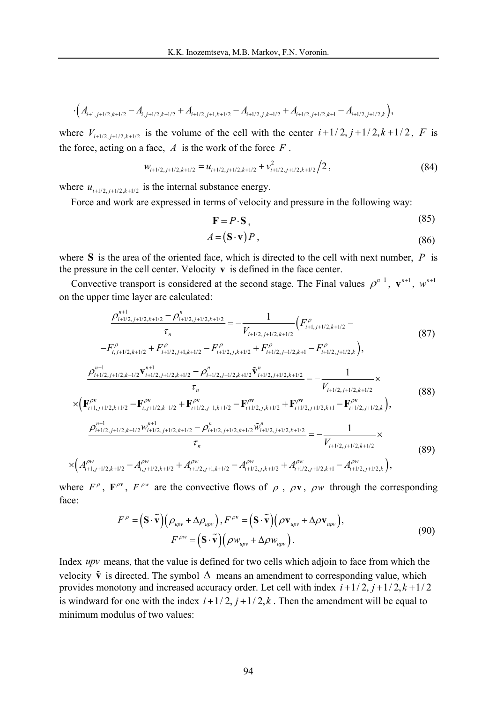$$
\cdot \Big(A_{i+1,j+1/2,k+1/2}-A_{i,j+1/2,k+1/2}+A_{i+1/2,j+1,k+1/2}-A_{i+1/2,j,k+1/2}+A_{i+1/2,j+1/2,k+1}-A_{i+1/2,j+1/2,k}\Big),
$$

where  $V_{i+1/2, j+1/2, k+1/2}$  is the volume of the cell with the center  $i+1/2, j+1/2, k+1/2, F$  is the force, acting on a face,  $A$  is the work of the force  $F$ .

$$
w_{i+1/2,j+1/2,k+1/2} = u_{i+1/2,j+1/2,k+1/2} + v_{i+1/2,j+1/2,k+1/2}^2 / 2, \tag{84}
$$

where  $u_{i+1/2, i+1/2, k+1/2}$  is the internal substance energy.

Force and work are expressed in terms of velocity and pressure in the following way:

$$
\mathbf{F} = P \cdot \mathbf{S} \,,\tag{85}
$$

$$
A = (\mathbf{S} \cdot \mathbf{v}) P, \tag{86}
$$

where **S** is the area of the oriented face, which is directed to the cell with next number, *P* is the pressure in the cell center. Velocity **v** is defined in the face center.

Convective transport is considered at the second stage. The Final values  $\rho^{n+1}$ ,  $\mathbf{v}^{n+1}$ ,  $w^{n+1}$ on the upper time layer are calculated:

$$
\frac{\rho_{i+1/2,j+1/2,k+1/2}^{n+1} - \rho_{i+1/2,j+1/2,k+1/2}^{n}}{\tau_n} = -\frac{1}{V_{i+1/2,j+1/2,k+1/2}} \left( F_{i+1,j+1/2,k+1/2}^{\rho} - F_{i,j+1/2,k+1/2}^{\rho} + F_{i+1/2,j+1/2,k+1/2}^{\rho} + F_{i+1/2,j+1/2,k+1/2}^{\rho} + F_{i+1/2,j+1/2,k+1}^{\rho} - F_{i+1/2,j+1/2,k}^{\rho} \right),
$$
\n
$$
\frac{\rho_{i+1/2,j+1/2,k+1/2}^{n+1} \mathbf{v}_{i+1/2,j+1/2,k+1/2}^{n+1} - \rho_{i+1/2,j+1/2,k+1/2}^{\rho} \mathbf{v}_{i+1/2,j+1/2,k+1/2}^{n}}{\tau_n} = -\frac{1}{V_{i+1/2,j+1/2,k+1/2}} \times \left( 88 \right)
$$
\n
$$
\times \left( \mathbf{F}_{i+1,j+1/2,k+1/2}^{\rho \mathbf{v}} - \mathbf{F}_{i,j+1/2,k+1/2}^{\rho \mathbf{v}} + \mathbf{F}_{i+1/2,j+1,k+1/2}^{\rho \mathbf{v}} - \mathbf{F}_{i+1/2,j,k+1/2}^{\rho \mathbf{v}} + \mathbf{F}_{i+1/2,j+1/2,k+1}^{\rho \mathbf{v}} - \mathbf{F}_{i+1/2,j+1/2,k+1/2}^{\rho \mathbf{v}} \right),
$$
\n
$$
\frac{\rho_{i+1/2,j+1/2,k+1/2}^{n+1} \mathbf{w}_{i+1/2,j+1/2,k+1/2}^{n+1} - \rho_{i+1/2,j+1/2,k+1/2}^{\rho} \mathbf{w}_{i+1/2,j+1/2,k+1/2}^{n}}{\tau_n} = -\frac{1}{\tau} \times
$$
\n(88)

$$
\tau_n \t V_{i+1/2,j+1/2,k+1/2}
$$
\n
$$
\times \Big(A_{i+1,j+1/2,k+1/2}^{\rho w} - A_{i,j+1/2,k+1/2}^{\rho w} + A_{i+1/2,j+1,k+1/2}^{\rho w} - A_{i+1/2,j,k+1/2}^{\rho w} + A_{i+1/2,j+1/2,k+1}^{\rho w} - A_{i+1/2,j+1/2,k}^{\rho w} \Big),
$$
\n
$$
(89)
$$

where  $F^{\rho}$ ,  $\mathbf{F}^{\rho\nu}$ ,  $F^{\rho\nu}$  are the convective flows of  $\rho$ ,  $\rho\nu$ ,  $\rho\nu$  through the corresponding face:

$$
F^{\rho} = (\mathbf{S} \cdot \widetilde{\mathbf{v}}) (\rho_{upv} + \Delta \rho_{upv}), F^{\rho \mathbf{v}} = (\mathbf{S} \cdot \widetilde{\mathbf{v}}) (\rho \mathbf{v}_{upv} + \Delta \rho \mathbf{v}_{upv}),
$$
  
\n
$$
F^{\rho \mathbf{w}} = (\mathbf{S} \cdot \widetilde{\mathbf{v}}) (\rho \mathbf{w}_{upv} + \Delta \rho \mathbf{w}_{upv}).
$$
\n(90)

Index *upv* means, that the value is defined for two cells which adjoin to face from which the velocity  $\tilde{\mathbf{v}}$  is directed. The symbol  $\Delta$  means an amendment to corresponding value, which provides monotony and increased accuracy order. Let cell with index  $i+1/2$ ,  $j+1/2$ ,  $k+1/2$ is windward for one with the index  $i+1/2$ ,  $j+1/2$ , k. Then the amendment will be equal to minimum modulus of two values: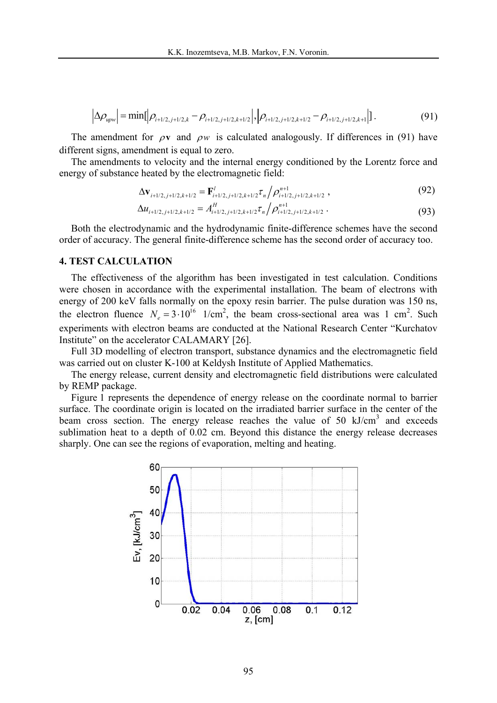$$
\left|\Delta \rho_{upw}\right| = \min[\left|\rho_{i+1/2,j+1/2,k} - \rho_{i+1/2,j+1/2,k+1/2}\right|, \left|\rho_{i+1/2,j+1/2,k+1/2} - \rho_{i+1/2,j+1/2,k+1}\right|].
$$
\n(91)

The amendment for  $\rho v$  and  $\rho w$  is calculated analogously. If differences in (91) have different signs, amendment is equal to zero.

The amendments to velocity and the internal energy conditioned by the Lorentz force and energy of substance heated by the electromagnetic field:

$$
\Delta \mathbf{v}_{i+1/2,j+1/2,k+1/2} = \mathbf{F}_{i+1/2,j+1/2,k+1/2}^l \tau_n / \rho_{i+1/2,j+1/2,k+1/2}^{n+1}, \qquad (92)
$$

$$
\Delta u_{i+1/2,j+1/2,k+1/2} = A_{i+1/2,j+1/2,k+1/2}^H \tau_n / \rho_{i+1/2,j+1/2,k+1/2}^{n+1} \,. \tag{93}
$$

Both the electrodynamic and the hydrodynamic finite-difference schemes have the second order of accuracy. The general finite-difference scheme has the second order of accuracy too.

## **4. TEST CALCULATION**

The effectiveness of the algorithm has been investigated in test calculation. Conditions were chosen in accordance with the experimental installation. The beam of electrons with energy of 200 keV falls normally on the epoxy resin barrier. The pulse duration was 150 ns, the electron fluence  $N_e = 3 \cdot 10^{16}$  1/cm<sup>2</sup>, the beam cross-sectional area was 1 cm<sup>2</sup>. Such experiments with electron beams are conducted at the National Research Center "Kurchatov Institute" on the accelerator CALAMARY [26].

Full 3D modelling of electron transport, substance dynamics and the electromagnetic field was carried out on cluster K-100 at Keldysh Institute of Applied Mathematics.

The energy release, current density and electromagnetic field distributions were calculated by REMP package.

Figure 1 represents the dependence of energy release on the coordinate normal to barrier surface. The coordinate origin is located on the irradiated barrier surface in the center of the beam cross section. The energy release reaches the value of 50 kJ/cm<sup>3</sup> and exceeds sublimation heat to a depth of 0.02 cm. Beyond this distance the energy release decreases sharply. One can see the regions of evaporation, melting and heating.

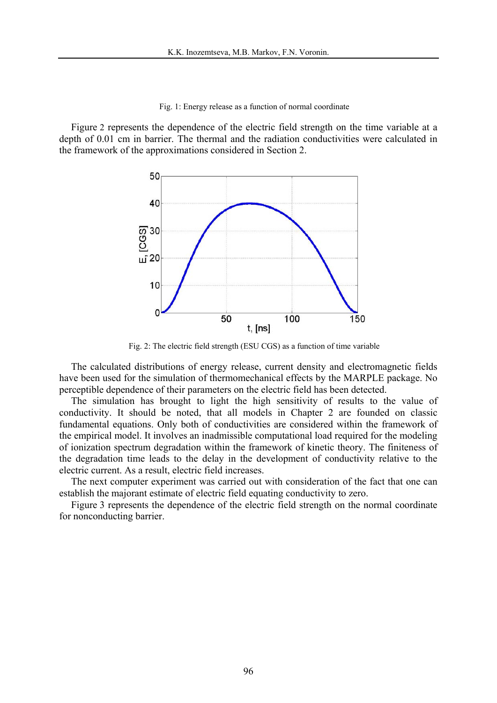Fig. 1: Energy release as a function of normal coordinate

Figure 2 represents the dependence of the electric field strength on the time variable at a depth of 0.01 cm in barrier. The thermal and the radiation conductivities were calculated in the framework of the approximations considered in Section 2.



Fig. 2: The electric field strength (ESU CGS) as a function of time variable

The calculated distributions of energy release, current density and electromagnetic fields have been used for the simulation of thermomechanical effects by the MARPLE package. No perceptible dependence of their parameters on the electric field has been detected.

The simulation has brought to light the high sensitivity of results to the value of conductivity. It should be noted, that all models in Chapter 2 are founded on classic fundamental equations. Only both of conductivities are considered within the framework of the empirical model. It involves an inadmissible computational load required for the modeling of ionization spectrum degradation within the framework of kinetic theory. The finiteness of the degradation time leads to the delay in the development of conductivity relative to the electric current. As a result, electric field increases.

The next computer experiment was carried out with consideration of the fact that one can establish the majorant estimate of electric field equating conductivity to zero.

Figure 3 represents the dependence of the electric field strength on the normal coordinate for nonconducting barrier.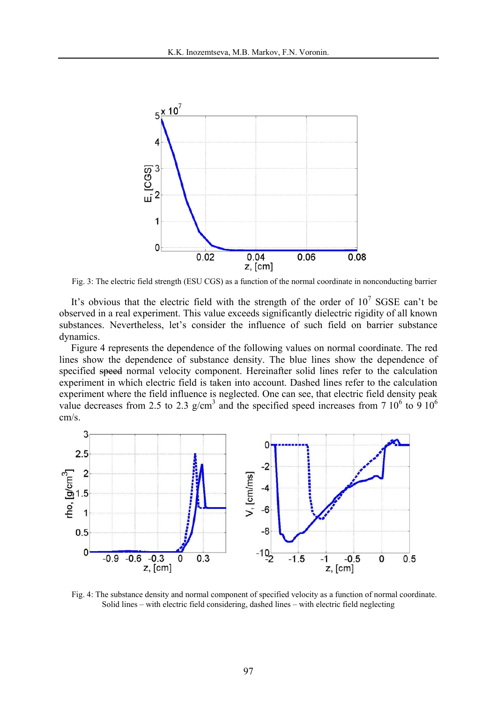

Fig. 3: The electric field strength (ESU CGS) as a function of the normal coordinate in nonconducting barrier

It's obvious that the electric field with the strength of the order of  $10^7$  SGSE can't be observed in a real experiment. This value exceeds significantly dielectric rigidity of all known substances. Nevertheless, let's consider the influence of such field on barrier substance dynamics.

Figure 4 represents the dependence of the following values on normal coordinate. The red lines show the dependence of substance density. The blue lines show the dependence of specified speed normal velocity component. Hereinafter solid lines refer to the calculation experiment in which electric field is taken into account. Dashed lines refer to the calculation experiment where the field influence is neglected. One can see, that electric field density peak value decreases from 2.5 to 2.3 g/cm<sup>3</sup> and the specified speed increases from 7 10<sup>6</sup> to 9 10<sup>6</sup> cm/s.



Fig. 4: The substance density and normal component of specified velocity as a function of normal coordinate. Solid lines – with electric field considering, dashed lines – with electric field neglecting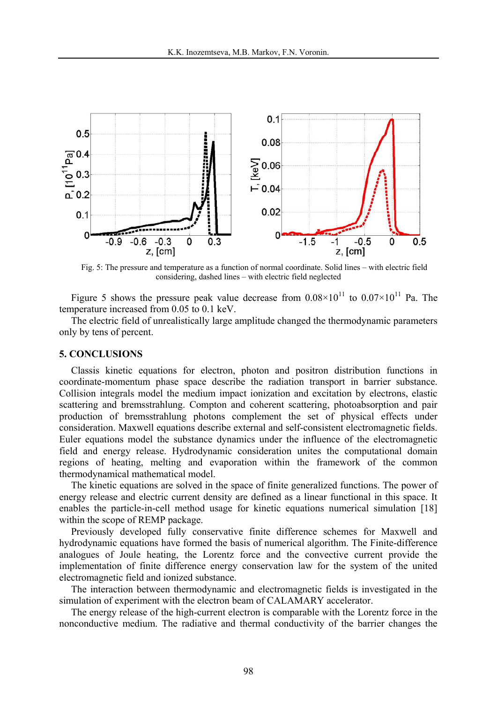

Fig. 5: The pressure and temperature as a function of normal coordinate. Solid lines – with electric field considering, dashed lines - with electric field neglected

Figure 5 shows the pressure peak value decrease from  $0.08 \times 10^{11}$  to  $0.07 \times 10^{11}$  Pa. The temperature increased from 0.05 to 0.1 keV.

The electric field of unrealistically large amplitude changed the thermodynamic parameters only by tens of percent.

### **5. CONCLUSIONS**

Classis kinetic equations for electron, photon and positron distribution functions in coordinate-momentum phase space describe the radiation transport in barrier substance. Collision integrals model the medium impact ionization and excitation by electrons, elastic scattering and bremsstrahlung. Compton and coherent scattering, photoabsorption and pair production of bremsstrahlung photons complement the set of physical effects under consideration. Maxwell equations describe external and self-consistent electromagnetic fields. Euler equations model the substance dynamics under the influence of the electromagnetic field and energy release. Hydrodynamic consideration unites the computational domain regions of heating, melting and evaporation within the framework of the common thermodynamical mathematical model.

The kinetic equations are solved in the space of finite generalized functions. The power of energy release and electric current density are defined as a linear functional in this space. It enables the particle-in-cell method usage for kinetic equations numerical simulation [18] within the scope of REMP package.

Previously developed fully conservative finite difference schemes for Maxwell and hydrodynamic equations have formed the basis of numerical algorithm. The Finite-difference analogues of Joule heating, the Lorentz force and the convective current provide the implementation of finite difference energy conservation law for the system of the united electromagnetic field and ionized substance.

The interaction between thermodynamic and electromagnetic fields is investigated in the simulation of experiment with the electron beam of CALAMARY accelerator.

The energy release of the high-current electron is comparable with the Lorentz force in the nonconductive medium. The radiative and thermal conductivity of the barrier changes the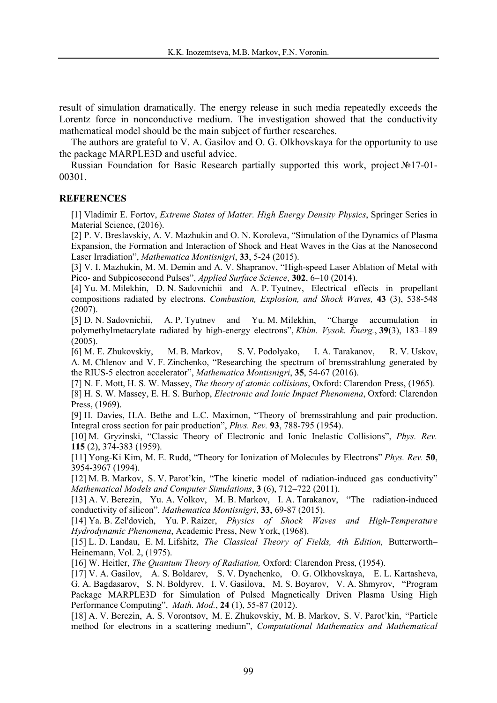result of simulation dramatically. The energy release in such media repeatedly exceeds the Lorentz force in nonconductive medium. The investigation showed that the conductivity mathematical model should be the main subject of further researches.

The authors are grateful to V. A. Gasilov and O. G. Olkhovskaya for the opportunity to use the package MARPLE3D and useful advice.

Russian Foundation for Basic Research partially supported this work, project №17-01- 00301.

# **REFERENCES**

[1] Vladimir E. Fortov, *Extreme States of Matter. High Energy Density Physics*, Springer Series in Material Science, (2016).

[2] P. V. Breslavskiy, A. V. Mazhukin and O. N. Koroleva, "Simulation of the Dynamics of Plasma Expansion, the Formation and Interaction of Shock and Heat Waves in the Gas at the Nanosecond Laser Irradiation", Mathematica Montisnigri, 33, 5-24 (2015).

[3] V. I. Mazhukin, M. M. Demin and A. V. Shapranov, "High-speed Laser Ablation of Metal with Pico- and Subpicosecond Pulses", *Applied Surface Science*, **302**, 6-10 (2014).

[4] Yu. M. Milekhin, D. N. Sadovnichii and A. P. Tyutnev, Electrical effects in propellant compositions radiated by electrons. *Combustion, Explosion, and Shock Waves,* **43** (3), 538-548 (2007).

[5] D. N. Sadovnichii, A. P. Tyutnev and Yu. M. Milekhin, Charge accumulation in polymethylmetacrylate radiated by high-energy electrons", *Khim. Vysok. Énerg.*, **39**(3), 183–189 (2005).

[6] M. E. Zhukovskiy, M. B. Markov, S. V. Podolyako, I. A. Tarakanov, R. V. Uskov, A. M. Chlenov and V. F. Zinchenko, "Researching the spectrum of bremsstrahlung generated by the RIUS-5 electron accelerator", *Mathematica Montisnigri*, 35, 54-67 (2016).

[7] N. F. Mott, H. S. W. Massey, *The theory of atomic collisions*, Oxford: Clarendon Press, (1965).

[8] H. S. W. Massey, E. H. S. Burhop, *Electronic and Ionic Impact Phenomena*, Oxford: Clarendon Press, (1969).

[9] H. Davies, H.A. Bethe and L.C. Maximon, "Theory of bremsstrahlung and pair production. Integral cross section for pair production", *Phys. Rev.* 93, 788-795 (1954).

[10] M. Gryzinski, "Classic Theory of Electronic and Ionic Inelastic Collisions", Phys. Rev. **115** (2), 374-383 (1959).

[11] Yong-Ki Kim, M. E. Rudd, "Theory for Ionization of Molecules by Electrons" Phys. Rev. 50, 3954-3967 (1994).

[12] M. B. Markov, S. V. Parot'kin, "The kinetic model of radiation-induced gas conductivity" *Mathematical Models and Computer Simulations*, **3** (6), 712–722 (2011).

[13] A. V. Berezin, Yu. A. Volkov, M. B. Markov, I. A. Tarakanov, "The radiation-induced conductivity of silicon". *Mathematica Montisnigri*, 33, 69-87 (2015).

[14] Ya. B. Zel'dovich, Yu. P. Raizer, *Physics of Shock Waves and High-Temperature Hydrodynamic Phenomena*, Academic Press, New York, (1968).

[15] L. D. Landau, E. M. Lifshitz, *The Classical Theory of Fields, 4th Edition,* Butterworth Heinemann, Vol. 2, (1975).

[16] W. Heitler, *The Quantum Theory of Radiation,* Oxford: Clarendon Press, (1954).

[17] V. A. Gasilov, A. S. Boldarev, S. V. Dyachenko, O. G. Olkhovskaya, E. L. Kartasheva, G. A. Bagdasarov, S. N. Boldyrev, I. V. Gasilova, M. S. Boyarov, V. A. Shmyrov, Program Package MARPLE3D for Simulation of Pulsed Magnetically Driven Plasma Using High Performance Computing, *Math. Mod.*, **24** (1), 55-87 (2012).

[18] A. V. Berezin, A. S. Vorontsov, M. E. Zhukovskiy, M. B. Markov, S. V. Parot'kin, "Particle method for electrons in a scattering medium", *Computational Mathematics and Mathematical*